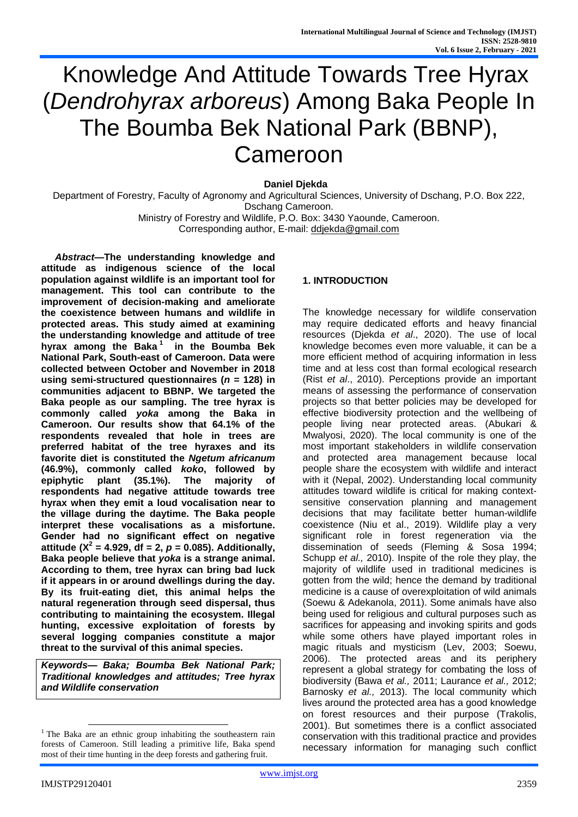# Knowledge And Attitude Towards Tree Hyrax (*Dendrohyrax arboreus*) Among Baka People In The Boumba Bek National Park (BBNP), Cameroon

**Daniel Djekda** 

Department of Forestry, Faculty of Agronomy and Agricultural Sciences, University of Dschang, P.O. Box 222, Dschang Cameroon. Ministry of Forestry and Wildlife, P.O. Box: 3430 Yaounde, Cameroon.

Corresponding author, E-mail: [ddjekda@gmail.com](mailto:ddjekda@gmail.com)

*Abstract***—The understanding knowledge and attitude as indigenous science of the local population against wildlife is an important tool for management. This tool can contribute to the improvement of decision-making and ameliorate the coexistence between humans and wildlife in protected areas. This study aimed at examining the understanding knowledge and attitude of tree hyrax among the Baka <sup>1</sup> in the Boumba Bek National Park, South-east of Cameroon. Data were collected between October and November in 2018 using semi-structured questionnaires (***n* **= 128) in communities adjacent to BBNP. We targeted the Baka people as our sampling. The tree hyrax is commonly called** *yoka* **among the Baka in Cameroon. Our results show that 64.1% of the respondents revealed that hole in trees are preferred habitat of the tree hyraxes and its favorite diet is constituted the** *Ngetum africanum* **(46.9%), commonly called** *koko***, followed by epiphytic plant (35.1%). The majority of respondents had negative attitude towards tree hyrax when they emit a loud vocalisation near to the village during the daytime. The Baka people interpret these vocalisations as a misfortune. Gender had no significant effect on negative attitude (X<sup>2</sup> = 4.929, df = 2,** *p* **= 0.085). Additionally, Baka people believe that** *yoka* **is a strange animal. According to them, tree hyrax can bring bad luck if it appears in or around dwellings during the day. By its fruit-eating diet, this animal helps the natural regeneration through seed dispersal, thus contributing to maintaining the ecosystem. Illegal hunting, excessive exploitation of forests by several logging companies constitute a major threat to the survival of this animal species.**

*Keywords— Baka; Boumba Bek National Park; Traditional knowledges and attitudes; Tree hyrax and Wildlife conservation*

# **1. INTRODUCTION**

The knowledge necessary for wildlife conservation may require dedicated efforts and heavy financial resources (Djekda *et al*., 2020). The use of local knowledge becomes even more valuable, it can be a more efficient method of acquiring information in less time and at less cost than formal ecological research (Rist *et al*., 2010). Perceptions provide an important means of assessing the performance of conservation projects so that better policies may be developed for effective biodiversity protection and the wellbeing of people living near protected areas. (Abukari & Mwalyosi, 2020). The local community is one of the most important stakeholders in wildlife conservation and protected area management because local people share the ecosystem with wildlife and interact with it (Nepal, 2002). Understanding local community attitudes toward wildlife is critical for making contextsensitive conservation planning and management decisions that may facilitate better human-wildlife coexistence (Niu et al., 2019). Wildlife play a very significant role in forest regeneration via the dissemination of seeds (Fleming & Sosa 1994; Schupp *et al.,* 2010). Inspite of the role they play, the majority of wildlife used in traditional medicines is gotten from the wild; hence the demand by traditional medicine is a cause of overexploitation of wild animals (Soewu & Adekanola, 2011). Some animals have also being used for religious and cultural purposes such as sacrifices for appeasing and invoking spirits and gods while some others have played important roles in magic rituals and mysticism (Lev, 2003; Soewu, 2006). The protected areas and its periphery represent a global strategy for combating the loss of biodiversity (Bawa *et al.,* 2011; Laurance *et al.,* 2012; Barnosky *et al.,* 2013). The local community which lives around the protected area has a good knowledge on forest resources and their purpose (Trakolis, 2001). But sometimes there is a conflict associated conservation with this traditional practice and provides necessary information for managing such conflict

l

 $1$  The Baka are an ethnic group inhabiting the southeastern rain forests of Cameroon. Still leading a primitive life, Baka spend most of their time hunting in the deep forests and gathering fruit.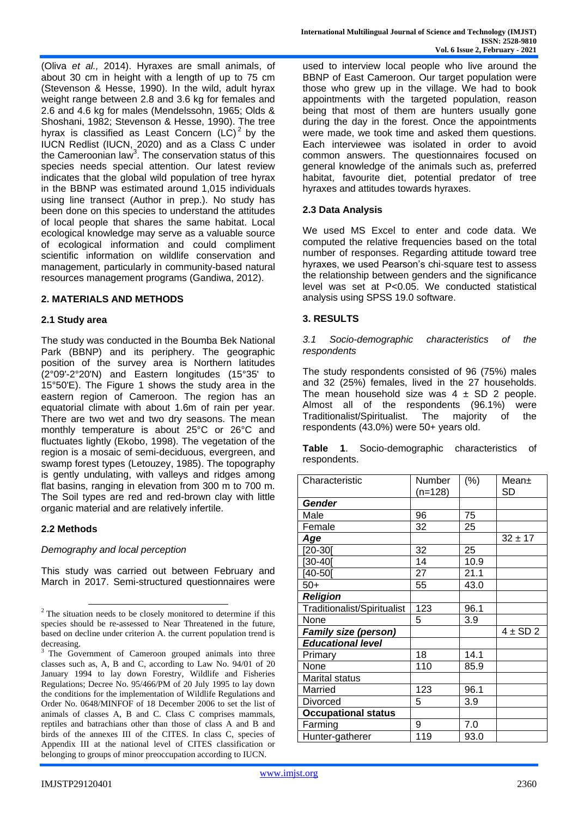(Oliva *et al.,* 2014). Hyraxes are small animals, of about 30 cm in height with a length of up to 75 cm (Stevenson & Hesse, 1990). In the wild, adult hyrax weight range between 2.8 and 3.6 kg for females and 2.6 and 4.6 kg for males (Mendelssohn, 1965; Olds & Shoshani, 1982; Stevenson & Hesse, 1990). The tree hyrax is classified as Least Concern  $(L\dot{C})^2$  by the IUCN Redlist (IUCN, 2020) and as a Class C under the Cameroonian law<sup>3</sup>. The conservation status of this species needs special attention. Our latest review indicates that the global wild population of tree hyrax in the BBNP was estimated around 1,015 individuals using line transect (Author in prep.). No study has been done on this species to understand the attitudes of local people that shares the same habitat. Local ecological knowledge may serve as a valuable source of ecological information and could compliment scientific information on wildlife conservation and management, particularly in community-based natural resources management programs (Gandiwa, 2012).

## **2. MATERIALS AND METHODS**

#### **2.1 Study area**

The study was conducted in the Boumba Bek National Park (BBNP) and its periphery. The geographic position of the survey area is Northern latitudes (2°09'-2°20'N) and Eastern longitudes (15°35' to 15°50'E). The Figure 1 shows the study area in the eastern region of Cameroon. The region has an equatorial climate with about 1.6m of rain per year. There are two wet and two dry seasons. The mean monthly temperature is about 25°C or 26°C and fluctuates lightly (Ekobo, 1998). The vegetation of the region is a mosaic of semi-deciduous, evergreen, and swamp forest types (Letouzey, 1985). The topography is gently undulating, with valleys and ridges among flat basins, ranging in elevation from 300 m to 700 m. The Soil types are red and red-brown clay with little organic material and are relatively infertile.

#### **2.2 Methods**

l

*Demography and local perception* 

This study was carried out between February and March in 2017. Semi-structured questionnaires were used to interview local people who live around the BBNP of East Cameroon. Our target population were those who grew up in the village. We had to book appointments with the targeted population, reason being that most of them are hunters usually gone during the day in the forest. Once the appointments were made, we took time and asked them questions. Each interviewee was isolated in order to avoid common answers. The questionnaires focused on general knowledge of the animals such as, preferred habitat, favourite diet, potential predator of tree hyraxes and attitudes towards hyraxes.

#### **2.3 Data Analysis**

We used MS Excel to enter and code data. We computed the relative frequencies based on the total number of responses. Regarding attitude toward tree hyraxes, we used Pearson's chi‐square test to assess the relationship between genders and the significance level was set at P<0.05. We conducted statistical analysis using SPSS 19.0 software.

#### **3. RESULTS**

*3.1 Socio-demographic characteristics of the respondents*

The study respondents consisted of 96 (75%) males and 32 (25%) females, lived in the 27 households. The mean household size was  $4 \pm SD$  2 people. Almost all of the respondents (96.1%) were Traditionalist/Spiritualist. The majority of the respondents (43.0%) were 50+ years old.

**Table 1**. Socio-demographic characteristics of respondents.

| Characteristic              | Number<br>(n=128) | (%)  | Mean±<br>SD  |
|-----------------------------|-------------------|------|--------------|
| Gender                      |                   |      |              |
| Male                        | 96                | 75   |              |
| Female                      | 32                | 25   |              |
| Age                         |                   |      | $32 \pm 17$  |
| [20-30]                     | 32                | 25   |              |
| $[30-40]$                   | 14                | 10.9 |              |
| $[40-50]$                   | 27                | 21.1 |              |
| $50+$                       | 55                | 43.0 |              |
| <b>Religion</b>             |                   |      |              |
| Traditionalist/Spiritualist | 123               | 96.1 |              |
| None                        | 5                 | 3.9  |              |
| <b>Family size (person)</b> |                   |      | $4 \pm SD$ 2 |
| <b>Educational level</b>    |                   |      |              |
| Primary                     | 18                | 14.1 |              |
| None                        | 110               | 85.9 |              |
| Marital status              |                   |      |              |
| Married                     | 123               | 96.1 |              |
| Divorced                    | 5                 | 3.9  |              |
| <b>Occupational status</b>  |                   |      |              |
| Farming                     | 9                 | 7.0  |              |
| Hunter-gatherer             | 119               | 93.0 |              |

<sup>2</sup> The situation needs to be closely monitored to determine if this species should be re-assessed to Near Threatened in the future, based on decline under criterion A. the current population trend is decreasing.

The Government of Cameroon grouped animals into three classes such as, A, B and C, according to Law No. 94/01 of 20 January 1994 to lay down Forestry, Wildlife and Fisheries Regulations; Decree No. 95/466/PM of 20 July 1995 to lay down the conditions for the implementation of Wildlife Regulations and Order No. 0648/MINFOF of 18 December 2006 to set the list of animals of classes A, B and C. Class C comprises mammals, reptiles and batrachians other than those of class A and B and birds of the annexes III of the CITES. In class C, species of Appendix III at the national level of CITES classification or belonging to groups of minor preoccupation according to IUCN.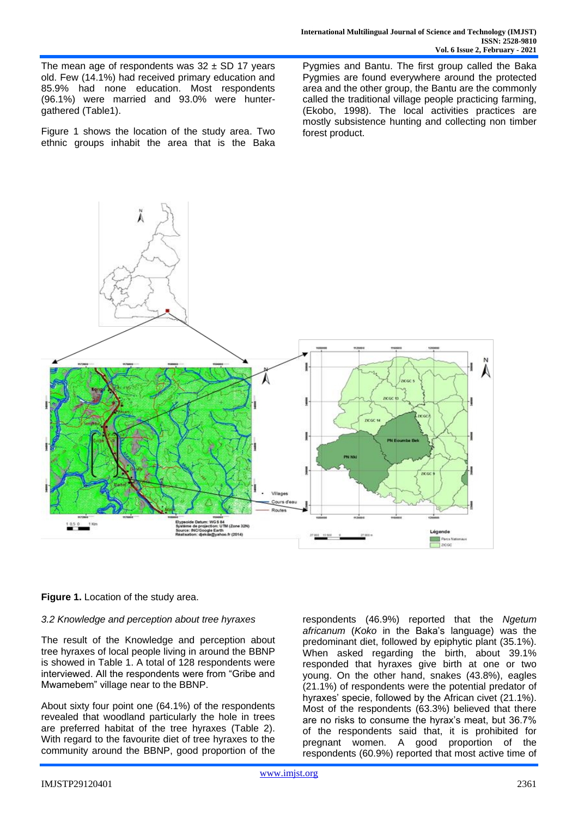The mean age of respondents was  $32 \pm SD$  17 years old. Few (14.1%) had received primary education and 85.9% had none education. Most respondents (96.1%) were married and 93.0% were huntergathered (Table1).

Figure 1 shows the location of the study area. Two ethnic groups inhabit the area that is the Baka Pygmies and Bantu. The first group called the Baka Pygmies are found everywhere around the protected area and the other group, the Bantu are the commonly called the traditional village people practicing farming, (Ekobo, 1998). The local activities practices are mostly subsistence hunting and collecting non timber forest product.



## **Figure 1.** Location of the study area.

## *3.2 Knowledge and perception about tree hyraxes*

The result of the Knowledge and perception about tree hyraxes of local people living in around the BBNP is showed in Table 1. A total of 128 respondents were interviewed. All the respondents were from "Gribe and Mwamebem" village near to the BBNP.

About sixty four point one (64.1%) of the respondents revealed that woodland particularly the hole in trees are preferred habitat of the tree hyraxes (Table 2). With regard to the favourite diet of tree hyraxes to the community around the BBNP, good proportion of the respondents (46.9%) reported that the *Ngetum africanum* (*Koko* in the Baka's language) was the predominant diet, followed by epiphytic plant (35.1%). When asked regarding the birth, about 39.1% responded that hyraxes give birth at one or two young. On the other hand, snakes (43.8%), eagles (21.1%) of respondents were the potential predator of hyraxes' specie, followed by the African civet (21.1%). Most of the respondents (63.3%) believed that there are no risks to consume the hyrax's meat, but 36.7% of the respondents said that, it is prohibited for pregnant women. A good proportion of the respondents (60.9%) reported that most active time of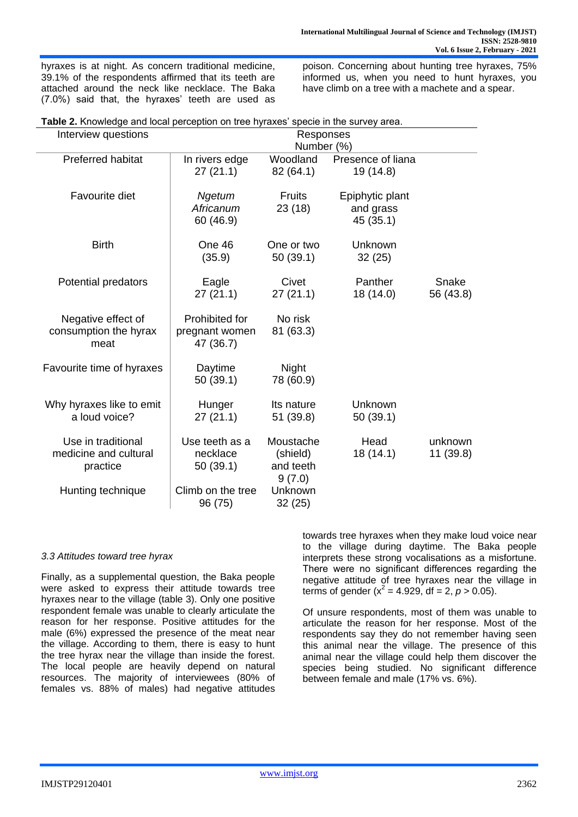hyraxes is at night. As concern traditional medicine, 39.1% of the respondents affirmed that its teeth are attached around the neck like necklace. The Baka (7.0%) said that, the hyraxes' teeth are used as poison. Concerning about hunting tree hyraxes, 75% informed us, when you need to hunt hyraxes, you have climb on a tree with a machete and a spear.

|  |  | Table 2. Knowledge and local perception on tree hyraxes' specie in the survey area. |  |
|--|--|-------------------------------------------------------------------------------------|--|
|  |  |                                                                                     |  |

| Interview questions                                     |                                               | Responses<br>Number (%)                      |                                           |                      |  |
|---------------------------------------------------------|-----------------------------------------------|----------------------------------------------|-------------------------------------------|----------------------|--|
| <b>Preferred habitat</b>                                | In rivers edge<br>27(21.1)                    | Woodland<br>82 (64.1)                        | Presence of liana<br>19 (14.8)            |                      |  |
| Favourite diet                                          | Ngetum<br>Africanum<br>60 (46.9)              | <b>Fruits</b><br>23(18)                      | Epiphytic plant<br>and grass<br>45 (35.1) |                      |  |
| <b>Birth</b>                                            | One 46<br>(35.9)                              | One or two<br>50 (39.1)                      | Unknown<br>32(25)                         |                      |  |
| Potential predators                                     | Eagle<br>27(21.1)                             | Civet<br>27(21.1)                            | Panther<br>18 (14.0)                      | Snake<br>56 (43.8)   |  |
| Negative effect of<br>consumption the hyrax<br>meat     | Prohibited for<br>pregnant women<br>47 (36.7) | No risk<br>81 (63.3)                         |                                           |                      |  |
| Favourite time of hyraxes                               | Daytime<br>50 (39.1)                          | <b>Night</b><br>78 (60.9)                    |                                           |                      |  |
| Why hyraxes like to emit<br>a loud voice?               | Hunger<br>27(21.1)                            | Its nature<br>51 (39.8)                      | Unknown<br>50(39.1)                       |                      |  |
| Use in traditional<br>medicine and cultural<br>practice | Use teeth as a<br>necklace<br>50(39.1)        | Moustache<br>(shield)<br>and teeth<br>9(7.0) | Head<br>18 (14.1)                         | unknown<br>11 (39.8) |  |
| Hunting technique                                       | Climb on the tree<br>96 (75)                  | Unknown<br>32 (25)                           |                                           |                      |  |

## *3.3 Attitudes toward tree hyrax*

Finally, as a supplemental question, the Baka people were asked to express their attitude towards tree hyraxes near to the village (table 3). Only one positive respondent female was unable to clearly articulate the reason for her response. Positive attitudes for the male (6%) expressed the presence of the meat near the village. According to them, there is easy to hunt the tree hyrax near the village than inside the forest. The local people are heavily depend on natural resources. The majority of interviewees (80% of females vs. 88% of males) had negative attitudes towards tree hyraxes when they make loud voice near to the village during daytime. The Baka people interprets these strong vocalisations as a misfortune. There were no significant differences regarding the negative attitude of tree hyraxes near the village in terms of gender  $(x^2 = 4.929, df = 2, p > 0.05)$ .

Of unsure respondents, most of them was unable to articulate the reason for her response. Most of the respondents say they do not remember having seen this animal near the village. The presence of this animal near the village could help them discover the species being studied. No significant difference between female and male (17% vs. 6%).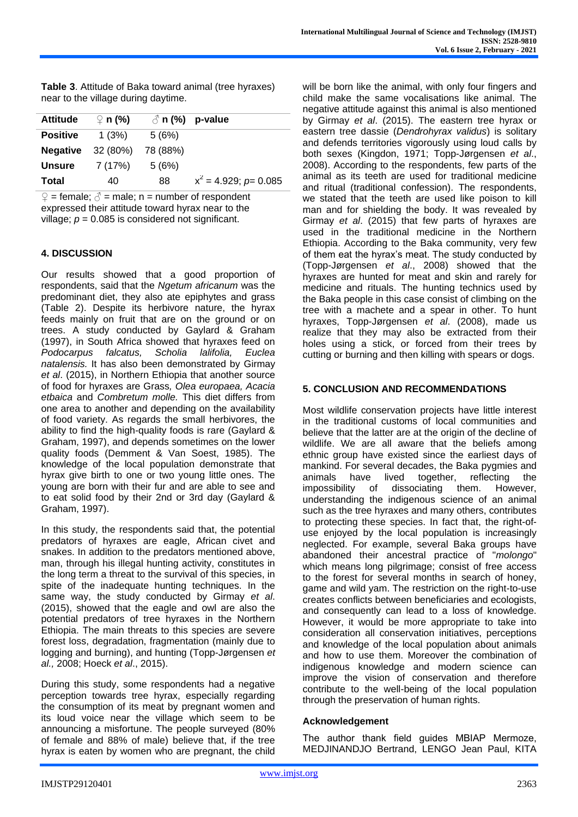**Table 3**. Attitude of Baka toward animal (tree hyraxes) near to the village during daytime.

| <b>Attitude</b> | $\Omega$ n (%) |          | $\circ$ n (%) p-value       |
|-----------------|----------------|----------|-----------------------------|
| <b>Positive</b> | 1(3%)          | 5(6%)    |                             |
| <b>Negative</b> | 32 (80%)       | 78 (88%) |                             |
| <b>Unsure</b>   | 7 (17%)        | 5(6%)    |                             |
| Total           | 40             | 88       | $x^2 = 4.929$ ; $p = 0.085$ |

 $\mathcal{Q}$  = female;  $\mathcal{O}$  = male; n = number of respondent expressed their attitude toward hyrax near to the village;  $p = 0.085$  is considered not significant.

# **4. DISCUSSION**

Our results showed that a good proportion of respondents, said that the *Ngetum africanum* was the predominant diet, they also ate epiphytes and grass (Table 2). Despite its herbivore nature, the hyrax feeds mainly on fruit that are on the ground or on trees. A study conducted by Gaylard & Graham (1997), in South Africa showed that hyraxes feed on *Podocarpus falcatus, Scholia lalifolia, Euclea natalensis.* It has also been demonstrated by Girmay *et al*. (2015), in Northern Ethiopia that another source of food for hyraxes are Grass*, Olea europaea, Acacia etbaica* and *Combretum molle.* This diet differs from one area to another and depending on the availability of food variety. As regards the small herbivores, the ability to find the high-quality foods is rare (Gaylard & Graham, 1997), and depends sometimes on the lower quality foods (Demment & Van Soest, 1985). The knowledge of the local population demonstrate that hyrax give birth to one or two young little ones. The young are born with their fur and are able to see and to eat solid food by their 2nd or 3rd day (Gaylard & Graham, 1997).

In this study, the respondents said that, the potential predators of hyraxes are eagle, African civet and snakes. In addition to the predators mentioned above, man, through his illegal hunting activity, constitutes in the long term a threat to the survival of this species, in spite of the inadequate hunting techniques. In the same way, the study conducted by Girmay *et al*. (2015), showed that the eagle and owl are also the potential predators of tree hyraxes in the Northern Ethiopia. The main threats to this species are severe forest loss, degradation, fragmentation (mainly due to logging and burning), and hunting (Topp-Jørgensen *et al.,* 2008; Hoeck *et al*., 2015).

During this study, some respondents had a negative perception towards tree hyrax, especially regarding the consumption of its meat by pregnant women and its loud voice near the village which seem to be announcing a misfortune. The people surveyed (80% of female and 88% of male) believe that, if the tree hyrax is eaten by women who are pregnant, the child will be born like the animal, with only four fingers and child make the same vocalisations like animal. The negative attitude against this animal is also mentioned by Girmay *et al*. (2015). The eastern tree hyrax or eastern tree dassie (*Dendrohyrax validus*) is solitary and defends territories vigorously using loud calls by both sexes (Kingdon, 1971; Topp-Jørgensen *et al*., 2008). According to the respondents, few parts of the animal as its teeth are used for traditional medicine and ritual (traditional confession). The respondents, we stated that the teeth are used like poison to kill man and for shielding the body. It was revealed by Girmay *et al*. (2015) that few parts of hyraxes are used in the traditional medicine in the Northern Ethiopia. According to the Baka community, very few of them eat the hyrax's meat. The study conducted by (Topp-Jørgensen *et al*., 2008) showed that the hyraxes are hunted for meat and skin and rarely for medicine and rituals. The hunting technics used by the Baka people in this case consist of climbing on the tree with a machete and a spear in other. To hunt hyraxes, Topp-Jørgensen *et al*. (2008), made us realize that they may also be extracted from their holes using a stick, or forced from their trees by cutting or burning and then killing with spears or dogs.

# **5. CONCLUSION AND RECOMMENDATIONS**

Most wildlife conservation projects have little interest in the traditional customs of local communities and believe that the latter are at the origin of the decline of wildlife. We are all aware that the beliefs among ethnic group have existed since the earliest days of mankind. For several decades, the Baka pygmies and animals have lived together, reflecting the impossibility of dissociating them. However, understanding the indigenous science of an animal such as the tree hyraxes and many others, contributes to protecting these species. In fact that, the right-ofuse enjoyed by the local population is increasingly neglected. For example, several Baka groups have abandoned their ancestral practice of "*molongo*" which means long pilgrimage; consist of free access to the forest for several months in search of honey, game and wild yam. The restriction on the right-to-use creates conflicts between beneficiaries and ecologists, and consequently can lead to a loss of knowledge. However, it would be more appropriate to take into consideration all conservation initiatives, perceptions and knowledge of the local population about animals and how to use them. Moreover the combination of indigenous knowledge and modern science can improve the vision of conservation and therefore contribute to the well-being of the local population through the preservation of human rights.

## **Acknowledgement**

The author thank field guides MBIAP Mermoze, MEDJINANDJO Bertrand, LENGO Jean Paul, KITA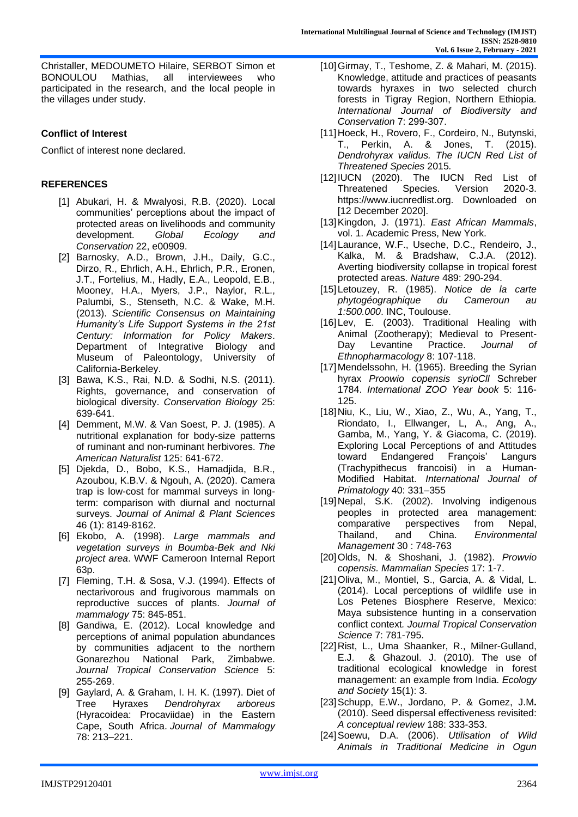Christaller, MEDOUMETO Hilaire, SERBOT Simon et BONOULOU Mathias, all interviewees who participated in the research, and the local people in the villages under study.

# **Conflict of Interest**

Conflict of interest none declared.

# **REFERENCES**

- [1] Abukari, H. & Mwalyosi, R.B. (2020). Local communities' perceptions about the impact of protected areas on livelihoods and community development. *Global Ecology and Conservation* 22, e00909.
- [2] Barnosky, A.D., Brown, J.H., Daily, G.C., Dirzo, R., Ehrlich, A.H., Ehrlich, P.R., Eronen, J.T., Fortelius, M., Hadly, E.A., Leopold, E.B., Mooney, H.A., Myers, J.P., Naylor, R.L., Palumbi, S., Stenseth, N.C. & Wake, M.H. (2013). *Scientific Consensus on Maintaining Humanity's Life Support Systems in the 21st Century: Information for Policy Makers*. Department of Integrative Biology and Museum of Paleontology, University of California-Berkeley.
- [3] Bawa, K.S., Rai, N.D. & Sodhi, N.S. (2011). Rights, governance, and conservation of biological diversity. *Conservation Biology* 25: 639-641.
- [4] Demment, M.W. & Van Soest, P. J. (1985). A nutritional explanation for body-size patterns of ruminant and non-ruminant herbivores. *The American Naturalist* 125: 641-672.
- [5] Djekda, D., Bobo, K.S., Hamadjida, B.R., Azoubou, K.B.V. & Ngouh, A. (2020). Camera trap is low-cost for mammal surveys in longterm: comparison with diurnal and nocturnal surveys. *Journal of Animal & Plant Sciences* 46 (1): 8149-8162.
- [6] Ekobo, A. (1998). *Large mammals and vegetation surveys in Boumba-Bek and Nki project area*. WWF Cameroon Internal Report 63p.
- [7] Fleming, T.H. & Sosa, V.J. (1994). Effects of nectarivorous and frugivorous mammals on reproductive succes of plants. *Journal of mammalogy* 75: 845-851.
- [8] Gandiwa, E. (2012). Local knowledge and perceptions of animal population abundances by communities adjacent to the northern Gonarezhou National Park, Zimbabwe. *Journal Tropical Conservation Science* 5: 255-269.
- [9] Gaylard, A. & Graham, I. H. K. (1997). Diet of Tree Hyraxes *Dendrohyrax arboreus* (Hyracoidea: Procaviidae) in the Eastern Cape, South Africa. *Journal of Mammalogy* 78: 213–221.
- [10]Girmay, T., Teshome, Z. & Mahari, M. (2015). Knowledge, attitude and practices of peasants towards hyraxes in two selected church forests in Tigray Region, Northern Ethiopia*. International Journal of Biodiversity and Conservation* 7: 299-307.
- [11]Hoeck, H., Rovero, F., Cordeiro, N., Butynski, T., Perkin, A. & Jones, T. (2015). *Dendrohyrax validus. The IUCN Red List of Threatened Species* 2015*.*
- [12]IUCN (2020). The IUCN Red List of Threatened Species. Version 2020-3. https://www.iucnredlist.org. Downloaded on [12 December 2020].
- [13]Kingdon, J. (1971). *East African Mammals*, vol. 1. Academic Press, New York.
- [14]Laurance, W.F., Useche, D.C., Rendeiro, J., Kalka, M. & Bradshaw, C.J.A. (2012). Averting biodiversity collapse in tropical forest protected areas. *Nature* 489: 290-294.
- [15]Letouzey, R. (1985). *Notice de la carte phytogéographique du Cameroun au 1:500.000*. INC, Toulouse.
- [16]Lev, E. (2003). Traditional Healing with Animal (Zootherapy); Medieval to Present-Day Levantine Practice. *Journal of Ethnopharmacology* 8: 107-118.
- [17] Mendelssohn, H. (1965). Breeding the Syrian hyrax *Proowio copensis syrioCll* Schreber 1784. *International ZOO Year book* 5: 116- 125.
- [18]Niu, K., Liu, W., Xiao, Z., Wu, A., Yang, T., Riondato, I., Ellwanger, L, A., Ang, A., Gamba, M., Yang, Y. & Giacoma, C. (2019). Exploring Local Perceptions of and Attitudes toward Endangered François' Langurs (Trachypithecus francoisi) in a Human-Modified Habitat. *International Journal of Primatology* 40: 331–355
- [19]Nepal, S.K. (2002). Involving indigenous peoples in protected area management: comparative perspectives from Nepal, Thailand, and China. *Environmental Management* 30 : 748-763
- [20]Olds, N. & Shoshani, J. (1982). *Prowvio copensis. Mammalian Species* 17: 1-7.
- [21]Oliva, M., Montiel, S., Garcia, A. & Vidal, L. (2014). Local perceptions of wildlife use in Los Petenes Biosphere Reserve, Mexico: Maya subsistence hunting in a conservation conflict context*. Journal Tropical Conservation Science* 7: 781-795.
- [22]Rist, L., Uma Shaanker, R., Milner-Gulland, E.J. & Ghazoul. J. (2010). The use of traditional ecological knowledge in forest management: an example from India. *Ecology and Society* 15(1): 3.
- [23]Schupp, E.W., Jordano, P. & Gomez, J.M**.**  (2010). Seed dispersal effectiveness revisited: *A conceptual review* 188: 333-353.
- [24]Soewu, D.A. (2006). *Utilisation of Wild Animals in Traditional Medicine in Ogun*